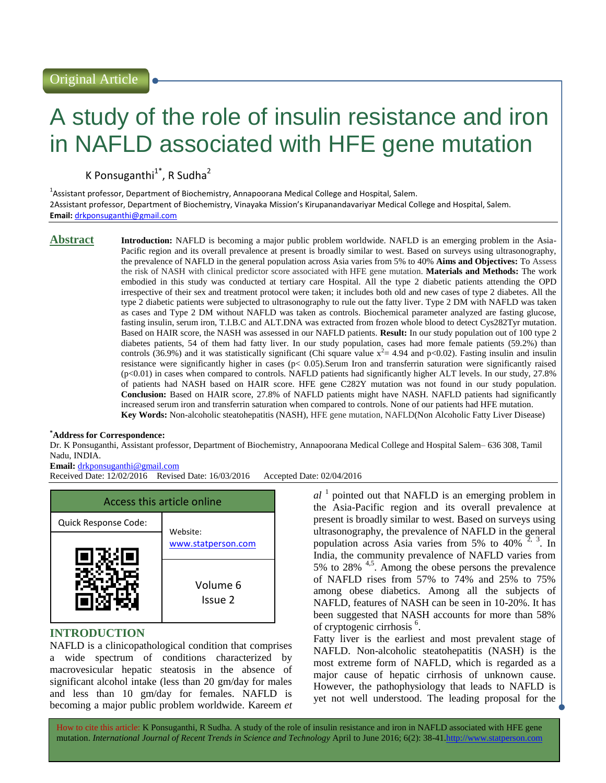# A study of the role of insulin resistance and iron in NAFLD associated with HFE gene mutation

K Ponsuganthi<sup>1\*</sup>, R Sudha<sup>2</sup>

<sup>1</sup>Assistant professor, Department of Biochemistry, Annapoorana Medical College and Hospital, Salem. 2Assistant professor, Department of Biochemistry, Vinayaka Mission's Kirupanandavariyar Medical College and Hospital, Salem. **Email:** [drkponsuganthi@gmail.com](mailto:drkponsuganthi@gmail.com)

**Abstract Introduction:** NAFLD is becoming a major public problem worldwide. NAFLD is an emerging problem in the Asia-Pacific region and its overall prevalence at present is broadly similar to west. Based on surveys using ultrasonography, the prevalence of NAFLD in the general population across Asia varies from 5% to 40% **Aims and Objectives:** To Assess the risk of NASH with clinical predictor score associated with HFE gene mutation. **Materials and Methods:** The work embodied in this study was conducted at tertiary care Hospital. All the type 2 diabetic patients attending the OPD irrespective of their sex and treatment protocol were taken; it includes both old and new cases of type 2 diabetes. All the type 2 diabetic patients were subjected to ultrasonography to rule out the fatty liver. Type 2 DM with NAFLD was taken as cases and Type 2 DM without NAFLD was taken as controls. Biochemical parameter analyzed are fasting glucose, fasting insulin, serum iron, T.I.B.C and ALT.DNA was extracted from frozen whole blood to detect Cys282Tyr mutation. Based on HAIR score, the NASH was assessed in our NAFLD patients. **Result:** In our study population out of 100 type 2 diabetes patients, 54 of them had fatty liver. In our study population, cases had more female patients (59.2%) than controls (36.9%) and it was statistically significant (Chi square value  $x^2 = 4.94$  and p<0.02). Fasting insulin and insulin resistance were significantly higher in cases (p< 0.05).Serum Iron and transferrin saturation were significantly raised (p<0.01) in cases when compared to controls. NAFLD patients had significantly higher ALT levels. In our study, 27.8% of patients had NASH based on HAIR score. HFE gene C282Y mutation was not found in our study population. **Conclusion:** Based on HAIR score, 27.8% of NAFLD patients might have NASH. NAFLD patients had significantly increased serum iron and transferrin saturation when compared to controls. None of our patients had HFE mutation. **Key Words:** Non-alcoholic steatohepatitis (NASH), HFE gene mutation, NAFLD(Non Alcoholic Fatty Liver Disease)

### **\*Address for Correspondence:**

Dr. K Ponsuganthi, Assistant professor, Department of Biochemistry, Annapoorana Medical College and Hospital Salem– 636 308, Tamil Nadu, INDIA.

## **Email:** [drkponsuganthi@gmail.com](mailto:drkponsuganthi@gmail.com)

Received Date: 12/02/2016 Revised Date: 16/03/2016 Accepted Date: 02/04/2016



# **INTRODUCTION**

NAFLD is a clinicopathological condition that comprises a wide spectrum of conditions characterized by macrovesicular hepatic steatosis in the absence of significant alcohol intake (less than 20 gm/day for males and less than 10 gm/day for females. NAFLD is becoming a major public problem worldwide. Kareem *et* 

 $al<sup>1</sup>$  pointed out that NAFLD is an emerging problem in the Asia-Pacific region and its overall prevalence at present is broadly similar to west. Based on surveys using ultrasonography, the prevalence of NAFLD in the general population across Asia varies from 5% to 40%  $^2$ , 3. In India, the community prevalence of NAFLD varies from 5% to 28% 4,5. Among the obese persons the prevalence of NAFLD rises from 57% to 74% and 25% to 75% among obese diabetics. Among all the subjects of NAFLD, features of NASH can be seen in 10-20%. It has been suggested that NASH accounts for more than 58% of cryptogenic cirrhosis<sup>6</sup>.

Fatty liver is the earliest and most prevalent stage of NAFLD. Non-alcoholic steatohepatitis (NASH) is the most extreme form of NAFLD, which is regarded as a major cause of hepatic cirrhosis of unknown cause. However, the pathophysiology that leads to NAFLD is yet not well understood. The leading proposal for the

How to cite this article: K Ponsuganthi, R Sudha*.* A study of the role of insulin resistance and iron in NAFLD associated with HFE gene mutation. *International Journal of Recent Trends in Science and Technology* April to June 2016; 6(2): 38-41.http://www.statperson.com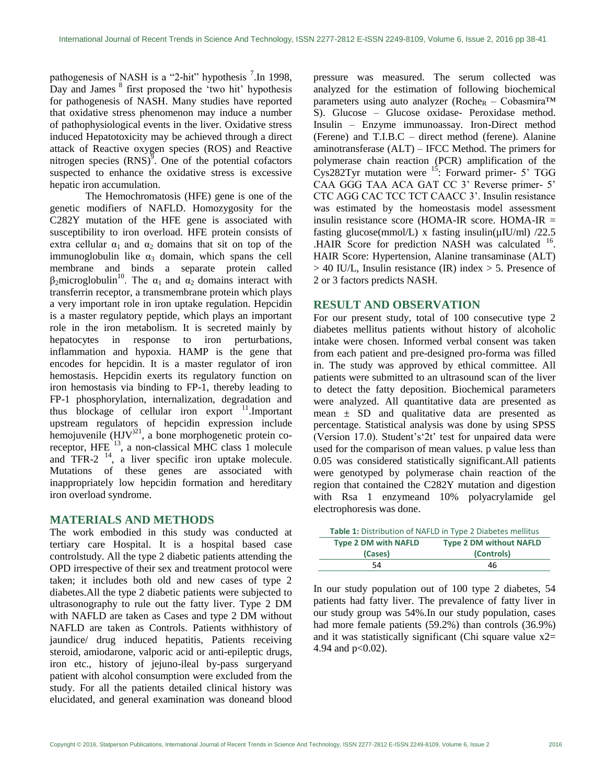pathogenesis of NASH is a "2-hit" hypothesis  $7$ . In 1998, Day and James  $8$  first proposed the 'two hit' hypothesis for pathogenesis of NASH. Many studies have reported that oxidative stress phenomenon may induce a number of pathophysiological events in the liver. Oxidative stress induced Hepatotoxicity may be achieved through a direct attack of Reactive oxygen species (ROS) and Reactive nitrogen species  $(RNS)^9$ . One of the potential cofactors suspected to enhance the oxidative stress is excessive hepatic iron accumulation.

The Hemochromatosis (HFE) gene is one of the genetic modifiers of NAFLD. Homozygosity for the C282Y mutation of the HFE gene is associated with susceptibility to iron overload. HFE protein consists of extra cellular  $\alpha_1$  and  $\alpha_2$  domains that sit on top of the immunoglobulin like  $\alpha_3$  domain, which spans the cell membrane and binds a separate protein called β<sub>2</sub>microglobulin<sup>10</sup>. The  $α_1$  and  $α_2$  domains interact with transferrin receptor, a transmembrane protein which plays a very important role in iron uptake regulation. Hepcidin is a master regulatory peptide, which plays an important role in the iron metabolism. It is secreted mainly by hepatocytes in response to iron perturbations, inflammation and hypoxia. HAMP is the gene that encodes for hepcidin. It is a master regulator of iron hemostasis. Hepcidin exerts its regulatory function on iron hemostasis via binding to FP-1, thereby leading to FP-1 phosphorylation, internalization, degradation and thus blockage of cellular iron export  $11$ . Important upstream regulators of hepcidin expression include hemojuvenile  $(HJV)^{21}$ , a bone morphogenetic protein coreceptor, HFE<sup>13</sup>, a non-classical MHC class 1 molecule and TFR-2  $^{14}$ , a liver specific iron uptake molecule. Mutations of these genes are associated with inappropriately low hepcidin formation and hereditary iron overload syndrome.

#### **MATERIALS AND METHODS**

The work embodied in this study was conducted at tertiary care Hospital. It is a hospital based case controlstudy. All the type 2 diabetic patients attending the OPD irrespective of their sex and treatment protocol were taken; it includes both old and new cases of type 2 diabetes.All the type 2 diabetic patients were subjected to ultrasonography to rule out the fatty liver. Type 2 DM with NAFLD are taken as Cases and type 2 DM without NAFLD are taken as Controls. Patients withhistory of jaundice/ drug induced hepatitis, Patients receiving steroid, amiodarone, valporic acid or anti-epileptic drugs, iron etc., history of jejuno-ileal by-pass surgeryand patient with alcohol consumption were excluded from the study. For all the patients detailed clinical history was elucidated, and general examination was doneand blood pressure was measured. The serum collected was analyzed for the estimation of following biochemical parameters using auto analyzer (Roche<sub>R</sub> – Cobasmira<sup>TM</sup> S). Glucose – Glucose oxidase- Peroxidase method. Insulin – Enzyme immunoassay. Iron-Direct method (Ferene) and T.I.B.C – direct method (ferene). Alanine aminotransferase (ALT) – IFCC Method. The primers for polymerase chain reaction (PCR) amplification of the  $Cys282$ Tyr mutation were  $15$ : Forward primer- 5' TGG CAA GGG TAA ACA GAT CC 3' Reverse primer- 5' CTC AGG CAC TCC TCT CAACC 3". Insulin resistance was estimated by the homeostasis model assessment insulin resistance score (HOMA-IR score. HOMA-IR = fasting glucose(mmol/L) x fasting insulin( $\mu$ IU/ml) /22.5 .HAIR Score for prediction NASH was calculated <sup>16</sup>. HAIR Score: Hypertension, Alanine transaminase (ALT)  $> 40$  IU/L, Insulin resistance (IR) index  $> 5$ . Presence of 2 or 3 factors predicts NASH.

#### **RESULT AND OBSERVATION**

For our present study, total of 100 consecutive type 2 diabetes mellitus patients without history of alcoholic intake were chosen. Informed verbal consent was taken from each patient and pre-designed pro-forma was filled in. The study was approved by ethical committee. All patients were submitted to an ultrasound scan of the liver to detect the fatty deposition. Biochemical parameters were analyzed. All quantitative data are presented as mean  $\pm$  SD and qualitative data are presented as percentage. Statistical analysis was done by using SPSS (Version 17.0). Student's  $2t'$  test for unpaired data were used for the comparison of mean values. p value less than 0.05 was considered statistically significant.All patients were genotyped by polymerase chain reaction of the region that contained the C282Y mutation and digestion with Rsa 1 enzymeand 10% polyacrylamide gel electrophoresis was done.

|                             | Table 1: Distribution of NAFLD in Type 2 Diabetes mellitus |
|-----------------------------|------------------------------------------------------------|
| <b>Type 2 DM with NAFLD</b> | <b>Type 2 DM without NAFLD</b>                             |
| (Cases)                     | (Controls)                                                 |
| 54                          | 46                                                         |

In our study population out of 100 type 2 diabetes, 54 patients had fatty liver. The prevalence of fatty liver in our study group was 54%.In our study population, cases had more female patients (59.2%) than controls (36.9%) and it was statistically significant (Chi square value x2= 4.94 and p<0.02).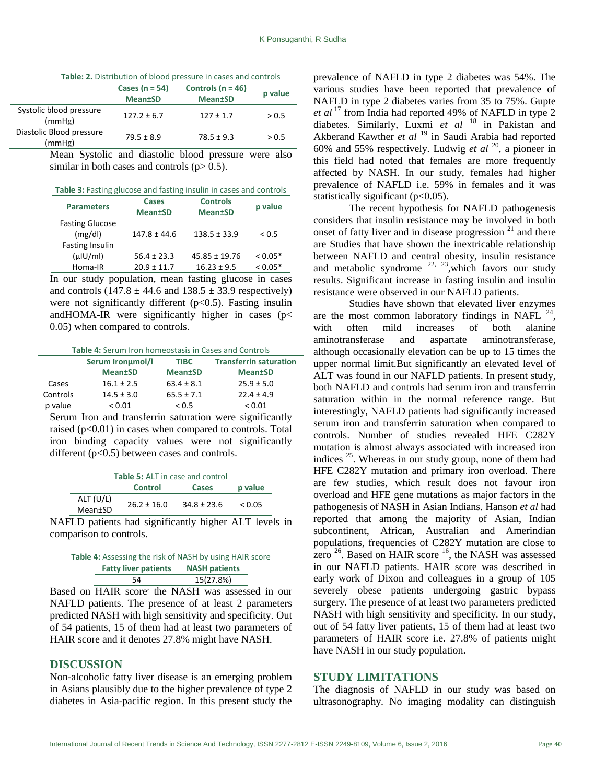|                                    | Cases ( $n = 54$ )<br><b>Mean</b> tSD | Controls ( $n = 46$ )<br><b>Mean</b> tSD | p value |
|------------------------------------|---------------------------------------|------------------------------------------|---------|
| Systolic blood pressure<br>(mmHg)  | $127.2 \pm 6.7$                       | $127 \pm 1.7$                            | > 0.5   |
| Diastolic Blood pressure<br>(mmHg) | $79.5 \pm 8.9$                        | $78.5 \pm 9.3$                           | > 0.5   |

Mean Systolic and diastolic blood pressure were also similar in both cases and controls  $(p> 0.5)$ .

| <b>Parameters</b>      | Cases<br><b>Mean</b> tSD | <b>Controls</b><br><b>Mean</b> tSD | p value   |
|------------------------|--------------------------|------------------------------------|-----------|
| <b>Fasting Glucose</b> |                          |                                    |           |
| (mg/dl)                | $147.8 \pm 44.6$         | $138.5 \pm 33.9$                   | < 0.5     |
| <b>Fasting Insulin</b> |                          |                                    |           |
| (u U/m)                | $56.4 \pm 23.3$          | $45.85 \pm 19.76$                  | $0.05*$   |
| Homa-IR                | $20.9 \pm 11.7$          | $16.23 \pm 9.5$                    | $< 0.05*$ |

In our study population, mean fasting glucose in cases and controls  $(147.8 \pm 44.6 \text{ and } 138.5 \pm 33.9 \text{ respectively})$ were not significantly different  $(p<0.5)$ . Fasting insulin andHOMA-IR were significantly higher in cases ( $p$ < 0.05) when compared to controls.

|  |  | <b>Table 4:</b> Serum Iron homeostasis in Cases and Controls |
|--|--|--------------------------------------------------------------|
|--|--|--------------------------------------------------------------|

|          | Serum Ironumol/I | <b>TIBC</b>     | <b>Transferrin saturation</b> |
|----------|------------------|-----------------|-------------------------------|
|          | <b>Mean</b> tSD  | <b>Mean</b> tSD | <b>Mean</b> tSD               |
| Cases    | $16.1 \pm 2.5$   | $63.4 \pm 8.1$  | $25.9 \pm 5.0$                |
| Controls | $14.5 \pm 3.0$   | $65.5 \pm 7.1$  | $22.4 \pm 4.9$                |
| p value  | ${}_{0.01}$      | < 0.5           | ${}_{0.01}$                   |

Serum Iron and transferrin saturation were significantly raised (p<0.01) in cases when compared to controls. Total iron binding capacity values were not significantly different ( $p<0.5$ ) between cases and controls.

| <b>Table 5:</b> ALT in case and control |                 |                 |         |
|-----------------------------------------|-----------------|-----------------|---------|
|                                         | <b>Control</b>  | Cases           | p value |
| ALT (U/L)                               | $26.2 \pm 16.0$ | $34.8 \pm 23.6$ | < 0.05  |
| Mean±SD                                 |                 |                 |         |

NAFLD patients had significantly higher ALT levels in comparison to controls.

| Table 4: Assessing the risk of NASH by using HAIR score |                      |  |
|---------------------------------------------------------|----------------------|--|
| <b>Fatty liver patients</b>                             | <b>NASH patients</b> |  |
| 54                                                      | 15(27.8%)            |  |

Based on **HAIR** score' the NASH was assessed in our NAFLD patients. The presence of at least 2 parameters predicted NASH with high sensitivity and specificity. Out of 54 patients, 15 of them had at least two parameters of HAIR score and it denotes 27.8% might have NASH.

#### **DISCUSSION**

Non-alcoholic fatty liver disease is an emerging problem in Asians plausibly due to the higher prevalence of type 2 diabetes in Asia-pacific region. In this present study the

prevalence of NAFLD in type 2 diabetes was 54%. The various studies have been reported that prevalence of NAFLD in type 2 diabetes varies from 35 to 75%. Gupte *et al* <sup>17</sup> from India had reported 49% of NAFLD in type 2 diabetes. Similarly, Luxmi et al<sup>18</sup> in Pakistan and Akberand Kawther *et al* <sup>19</sup> in Saudi Arabia had reported 60% and 55% respectively. Ludwig *et al* <sup>20</sup>, a pioneer in this field had noted that females are more frequently affected by NASH. In our study, females had higher prevalence of NAFLD i.e. 59% in females and it was statistically significant  $(p<0.05)$ .

The recent hypothesis for NAFLD pathogenesis considers that insulin resistance may be involved in both onset of fatty liver and in disease progression  $2<sup>1</sup>$  and there are Studies that have shown the inextricable relationship between NAFLD and central obesity, insulin resistance and metabolic syndrome  $^{22, 23}$ , which favors our study results. Significant increase in fasting insulin and insulin resistance were observed in our NAFLD patients.

Studies have shown that elevated liver enzymes are the most common laboratory findings in NAFL  $^{24}$ , with often mild increases of both alanine aminotransferase and aspartate aminotransferase, although occasionally elevation can be up to 15 times the upper normal limit.But significantly an elevated level of ALT was found in our NAFLD patients. In present study, both NAFLD and controls had serum iron and transferrin saturation within in the normal reference range. But interestingly, NAFLD patients had significantly increased serum iron and transferrin saturation when compared to controls. Number of studies revealed HFE C282Y mutation is almost always associated with increased iron indices  $^{25}$ . Whereas in our study group, none of them had HFE C282Y mutation and primary iron overload. There are few studies, which result does not favour iron overload and HFE gene mutations as major factors in the pathogenesis of NASH in Asian Indians. Hanson *et al* had reported that among the majority of Asian, Indian subcontinent, African, Australian and Amerindian populations, frequencies of C282Y mutation are close to zero  $26$ . Based on HAIR score  $16$ , the NASH was assessed in our NAFLD patients. HAIR score was described in early work of Dixon and colleagues in a group of 105 severely obese patients undergoing gastric bypass surgery. The presence of at least two parameters predicted NASH with high sensitivity and specificity. In our study, out of 54 fatty liver patients, 15 of them had at least two parameters of HAIR score i.e. 27.8% of patients might have NASH in our study population.

#### **STUDY LIMITATIONS**

The diagnosis of NAFLD in our study was based on ultrasonography. No imaging modality can distinguish